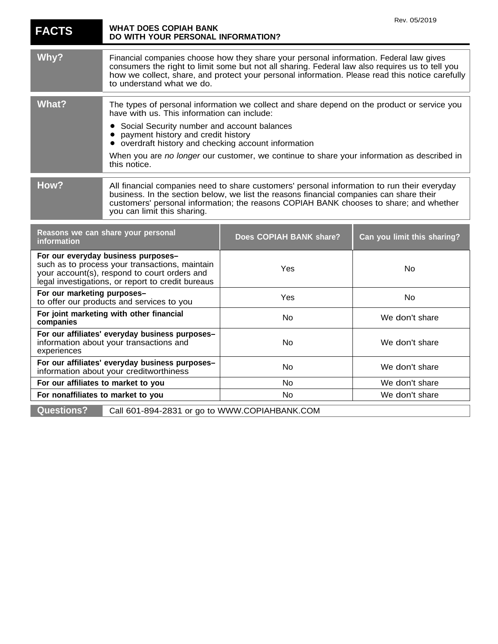|                                                                                                                                                                                            | <b>WHAT DOES COPIAH BANK</b>                                                                                                                                                                                                                                                                                                                                                                        |                         | Rev. 05/2019                |
|--------------------------------------------------------------------------------------------------------------------------------------------------------------------------------------------|-----------------------------------------------------------------------------------------------------------------------------------------------------------------------------------------------------------------------------------------------------------------------------------------------------------------------------------------------------------------------------------------------------|-------------------------|-----------------------------|
| <b>FACTS</b>                                                                                                                                                                               | DO WITH YOUR PERSONAL INFORMATION?                                                                                                                                                                                                                                                                                                                                                                  |                         |                             |
| Why?                                                                                                                                                                                       | Financial companies choose how they share your personal information. Federal law gives<br>consumers the right to limit some but not all sharing. Federal law also requires us to tell you<br>how we collect, share, and protect your personal information. Please read this notice carefully<br>to understand what we do.                                                                           |                         |                             |
| <b>What?</b>                                                                                                                                                                               | The types of personal information we collect and share depend on the product or service you<br>have with us. This information can include:<br>Social Security number and account balances<br>payment history and credit history<br>overdraft history and checking account information<br>When you are no longer our customer, we continue to share your information as described in<br>this notice. |                         |                             |
| How?                                                                                                                                                                                       | All financial companies need to share customers' personal information to run their everyday<br>business. In the section below, we list the reasons financial companies can share their<br>customers' personal information; the reasons COPIAH BANK chooses to share; and whether<br>you can limit this sharing.                                                                                     |                         |                             |
| Reasons we can share your personal<br>information                                                                                                                                          |                                                                                                                                                                                                                                                                                                                                                                                                     | Does COPIAH BANK share? | Can you limit this sharing? |
| For our everyday business purposes-<br>such as to process your transactions, maintain<br>your account(s), respond to court orders and<br>legal investigations, or report to credit bureaus |                                                                                                                                                                                                                                                                                                                                                                                                     | Yes                     | No                          |
| For our marketing purposes-<br>to offer our products and services to you                                                                                                                   |                                                                                                                                                                                                                                                                                                                                                                                                     | Yes                     | No                          |
| For joint marketing with other financial<br>companies                                                                                                                                      |                                                                                                                                                                                                                                                                                                                                                                                                     | No                      | We don't share              |
| For our affiliates' everyday business purposes-<br>information about your transactions and<br>experiences                                                                                  |                                                                                                                                                                                                                                                                                                                                                                                                     | No                      | We don't share              |
| For our affiliates' everyday business purposes-<br>information about your creditworthiness                                                                                                 |                                                                                                                                                                                                                                                                                                                                                                                                     | No                      | We don't share              |
| For our affiliates to market to you                                                                                                                                                        |                                                                                                                                                                                                                                                                                                                                                                                                     | No                      | We don't share              |
| For nonaffiliates to market to you                                                                                                                                                         |                                                                                                                                                                                                                                                                                                                                                                                                     | No                      | We don't share              |
| <b>Questions?</b>                                                                                                                                                                          | Call 601-894-2831 or go to WWW.COPIAHBANK.COM                                                                                                                                                                                                                                                                                                                                                       |                         |                             |